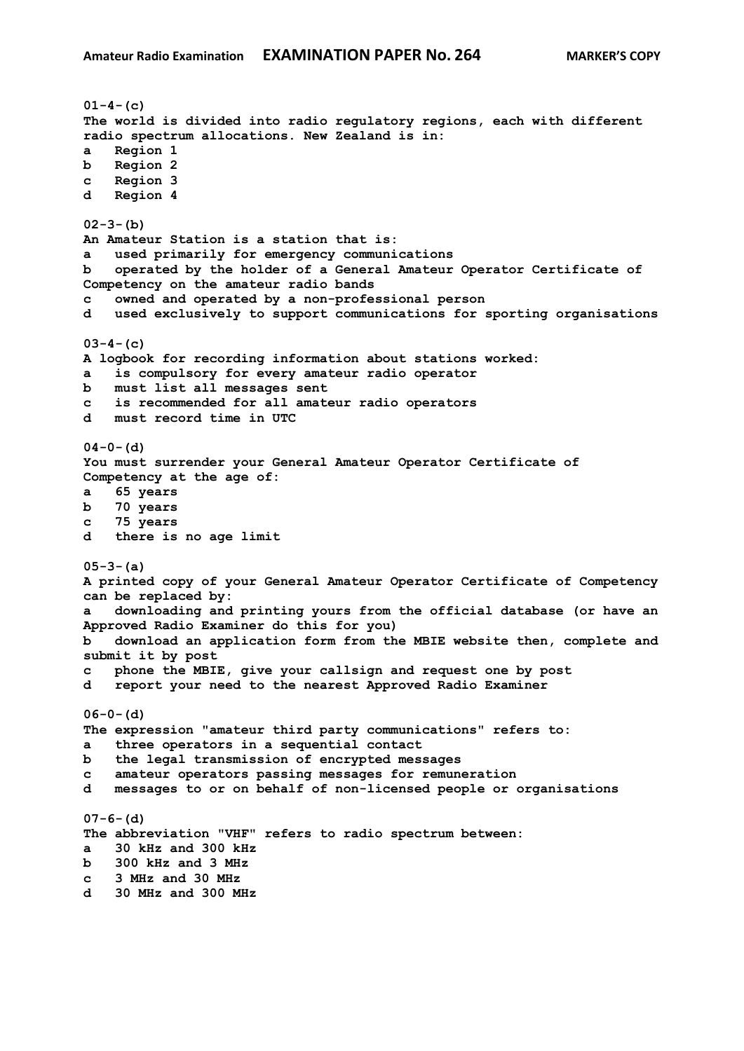```
01-4-(c)
The world is divided into radio regulatory regions, each with different 
radio spectrum allocations. New Zealand is in:
a Region 1
b Region 2
c Region 3
d Region 4
02-3-(b)
An Amateur Station is a station that is:
a used primarily for emergency communications
b operated by the holder of a General Amateur Operator Certificate of 
Competency on the amateur radio bands
c owned and operated by a non-professional person
d used exclusively to support communications for sporting organisations
03-4-(c)
A logbook for recording information about stations worked:
a is compulsory for every amateur radio operator
b must list all messages sent
c is recommended for all amateur radio operators
d must record time in UTC
04-0-(d)
You must surrender your General Amateur Operator Certificate of 
Competency at the age of:
a 65 years
b 70 years
c 75 years
d there is no age limit
05-3-(a)
A printed copy of your General Amateur Operator Certificate of Competency 
can be replaced by:
a downloading and printing yours from the official database (or have an 
Approved Radio Examiner do this for you)
b download an application form from the MBIE website then, complete and 
submit it by post
c phone the MBIE, give your callsign and request one by post
d report your need to the nearest Approved Radio Examiner
06-0-(d)
The expression "amateur third party communications" refers to:
a three operators in a sequential contact
b the legal transmission of encrypted messages
c amateur operators passing messages for remuneration
d messages to or on behalf of non-licensed people or organisations
07-6-(d)
The abbreviation "VHF" refers to radio spectrum between:
a 30 kHz and 300 kHz
b 300 kHz and 3 MHz
c 3 MHz and 30 MHz
d 30 MHz and 300 MHz
```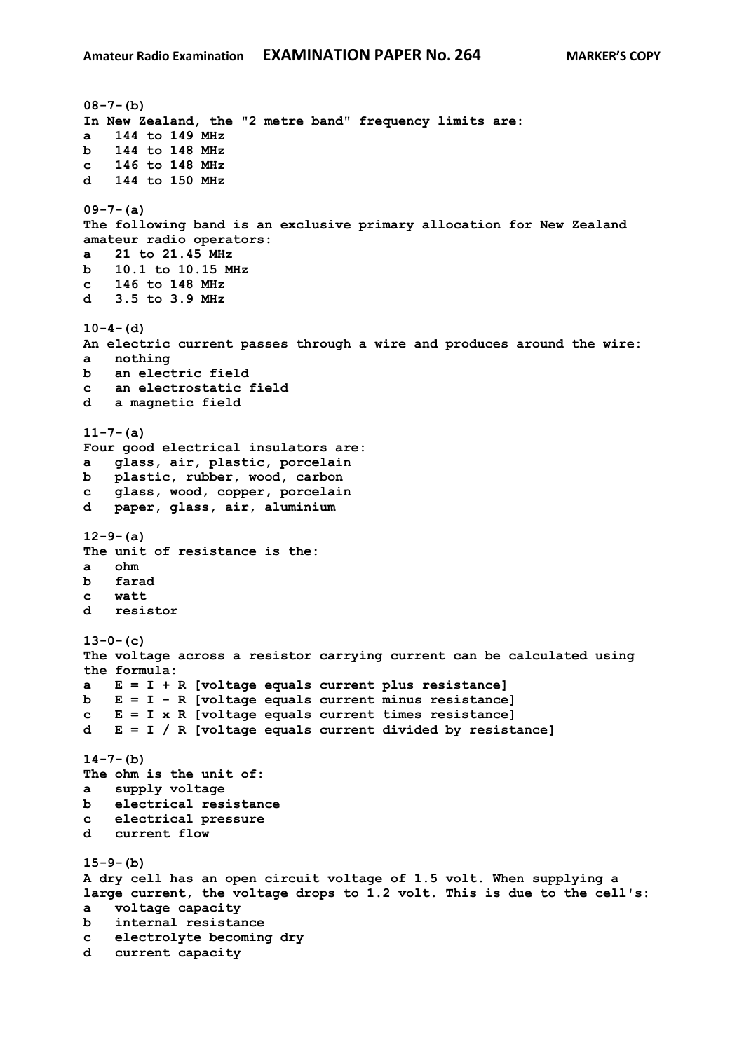```
08-7-(b)
In New Zealand, the "2 metre band" frequency limits are:
a 144 to 149 MHz
b 144 to 148 MHz
c 146 to 148 MHz
d 144 to 150 MHz
09-7-(a)
The following band is an exclusive primary allocation for New Zealand 
amateur radio operators:
a 21 to 21.45 MHz
b 10.1 to 10.15 MHz
c 146 to 148 MHz
d 3.5 to 3.9 MHz
10-4-(d)
An electric current passes through a wire and produces around the wire:
a nothing
b an electric field
c an electrostatic field
d a magnetic field
11-7-(a)
Four good electrical insulators are:
a glass, air, plastic, porcelain
b plastic, rubber, wood, carbon
c glass, wood, copper, porcelain
d paper, glass, air, aluminium
12-9-(a)
The unit of resistance is the:
a ohm
b farad
c watt
d resistor
13-0-(c)
The voltage across a resistor carrying current can be calculated using 
the formula:
a E = I + R [voltage equals current plus resistance]
b E = I - R [voltage equals current minus resistance]
c E = I x R [voltage equals current times resistance] 
d E = I / R [voltage equals current divided by resistance]
14-7-(b)
The ohm is the unit of:
a supply voltage
b electrical resistance
c electrical pressure
d current flow
15-9-(b)
A dry cell has an open circuit voltage of 1.5 volt. When supplying a 
large current, the voltage drops to 1.2 volt. This is due to the cell's:
a voltage capacity
b internal resistance
c electrolyte becoming dry
d current capacity
```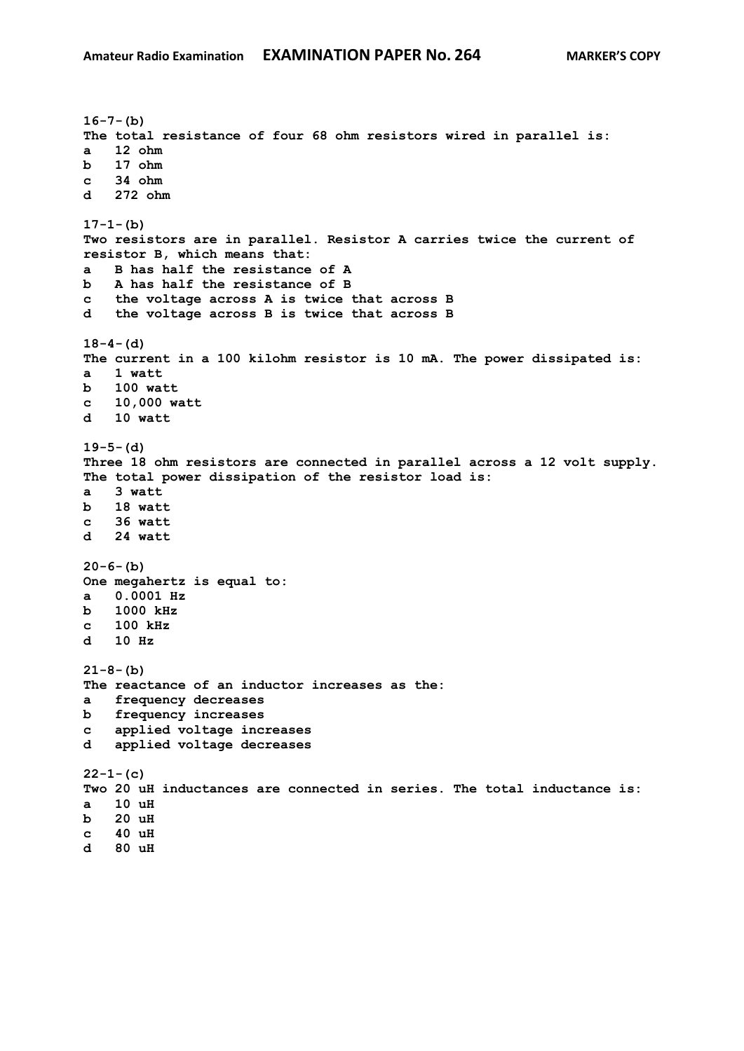```
16-7-(b)
The total resistance of four 68 ohm resistors wired in parallel is:
a 12 ohm
b 17 ohm 
c 34 ohm 
d 272 ohm
17-1-(b)
Two resistors are in parallel. Resistor A carries twice the current of 
resistor B, which means that:
a B has half the resistance of A
b A has half the resistance of B 
c the voltage across A is twice that across B
d the voltage across B is twice that across B 
18-4-(d)
The current in a 100 kilohm resistor is 10 mA. The power dissipated is:
a 1 watt
b 100 watt
c 10,000 watt
d 10 watt
19-5-(d)
Three 18 ohm resistors are connected in parallel across a 12 volt supply. 
The total power dissipation of the resistor load is:
a 3 watt
b 18 watt
c 36 watt 
d 24 watt 
20-6-(b)
One megahertz is equal to:
a 0.0001 Hz
b 1000 kHz
c 100 kHz
d 10 Hz
21-8-(b)
The reactance of an inductor increases as the:
a frequency decreases
b frequency increases 
c applied voltage increases
d applied voltage decreases 
22-1-(c)
Two 20 uH inductances are connected in series. The total inductance is:
a 10 uH
b 20 uH 
c 40 uH 
d 80 uH
```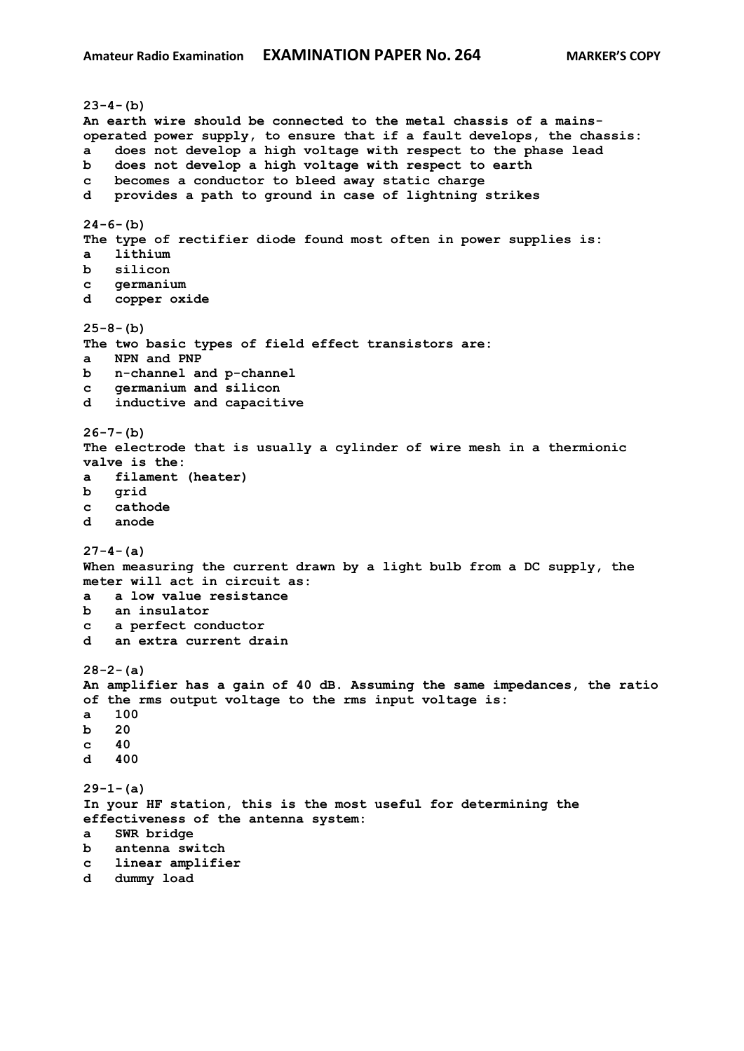```
23-4-(b)
An earth wire should be connected to the metal chassis of a mains-
operated power supply, to ensure that if a fault develops, the chassis:
a does not develop a high voltage with respect to the phase lead
b does not develop a high voltage with respect to earth
c becomes a conductor to bleed away static charge
d provides a path to ground in case of lightning strikes
24-6-(b)
The type of rectifier diode found most often in power supplies is:
a lithium
b silicon 
c germanium
d copper oxide
25-8-(b)
The two basic types of field effect transistors are:
a NPN and PNP
b n-channel and p-channel
c germanium and silicon
d inductive and capacitive
26-7-(b)
The electrode that is usually a cylinder of wire mesh in a thermionic 
valve is the:
a filament (heater)
b grid
c cathode
d anode
27-4-(a)
When measuring the current drawn by a light bulb from a DC supply, the 
meter will act in circuit as:
a a low value resistance
b an insulator
c a perfect conductor
d an extra current drain
28-2-(a)
An amplifier has a gain of 40 dB. Assuming the same impedances, the ratio 
of the rms output voltage to the rms input voltage is:
a 100
b 20
c 40 
d 400
29-1-(a)
In your HF station, this is the most useful for determining the 
effectiveness of the antenna system:
a SWR bridge
b antenna switch
c linear amplifier
d dummy load
```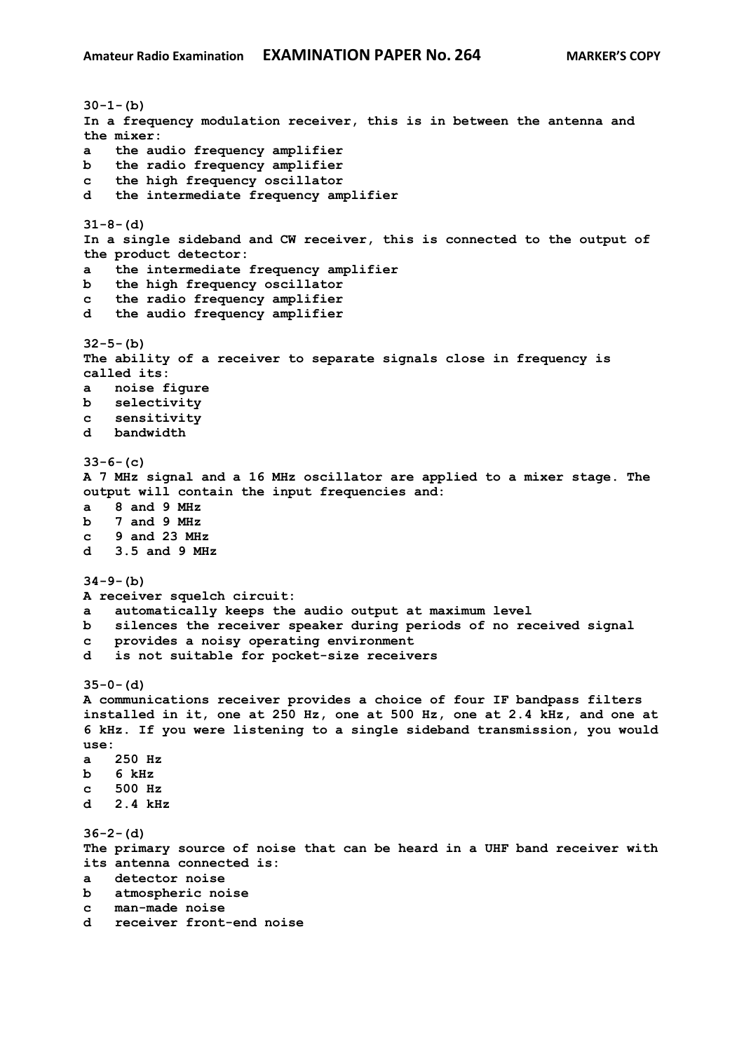**30-1-(b) In a frequency modulation receiver, this is in between the antenna and the mixer: a the audio frequency amplifier b the radio frequency amplifier c the high frequency oscillator d the intermediate frequency amplifier 31-8-(d) In a single sideband and CW receiver, this is connected to the output of the product detector: a the intermediate frequency amplifier b the high frequency oscillator c the radio frequency amplifier d the audio frequency amplifier 32-5-(b) The ability of a receiver to separate signals close in frequency is called its: a noise figure b selectivity c sensitivity d bandwidth 33-6-(c) A 7 MHz signal and a 16 MHz oscillator are applied to a mixer stage. The output will contain the input frequencies and: a 8 and 9 MHz b 7 and 9 MHz c 9 and 23 MHz d 3.5 and 9 MHz 34-9-(b) A receiver squelch circuit: a automatically keeps the audio output at maximum level b silences the receiver speaker during periods of no received signal c provides a noisy operating environment d is not suitable for pocket-size receivers 35-0-(d) A communications receiver provides a choice of four IF bandpass filters installed in it, one at 250 Hz, one at 500 Hz, one at 2.4 kHz, and one at 6 kHz. If you were listening to a single sideband transmission, you would use: a 250 Hz b 6 kHz c 500 Hz d 2.4 kHz 36-2-(d) The primary source of noise that can be heard in a UHF band receiver with its antenna connected is: a detector noise b atmospheric noise c man-made noise d receiver front-end noise**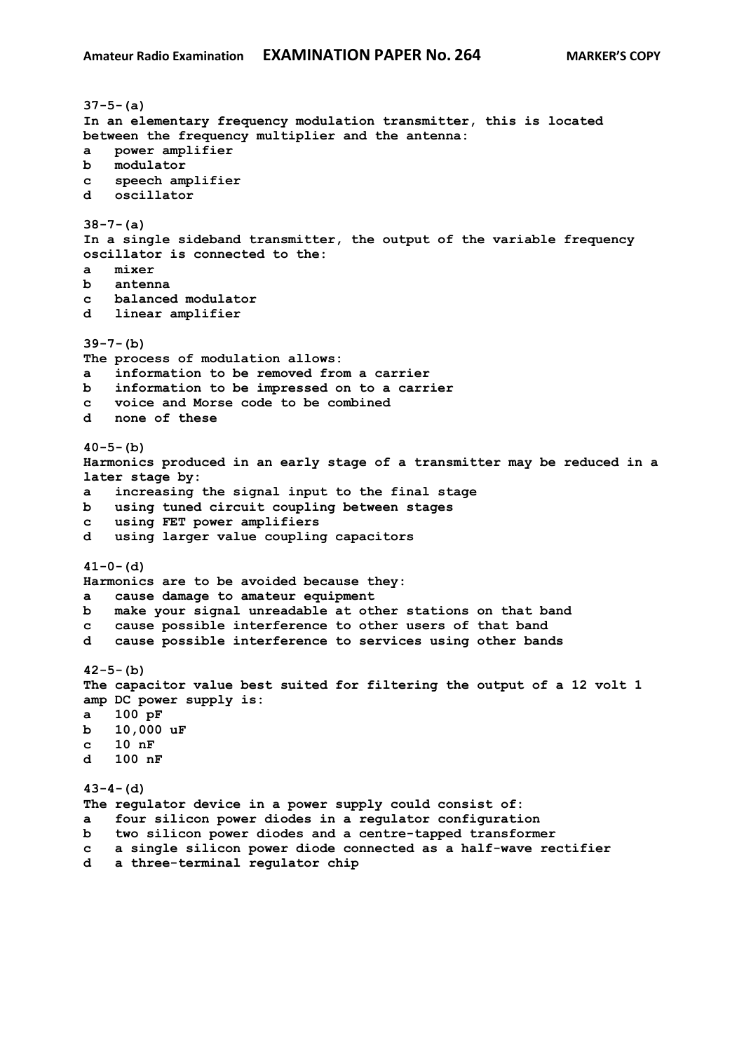**37-5-(a) In an elementary frequency modulation transmitter, this is located between the frequency multiplier and the antenna: a power amplifier b modulator c speech amplifier d oscillator 38-7-(a) In a single sideband transmitter, the output of the variable frequency oscillator is connected to the: a mixer b antenna c balanced modulator d linear amplifier 39-7-(b) The process of modulation allows: a information to be removed from a carrier b information to be impressed on to a carrier c voice and Morse code to be combined d none of these 40-5-(b) Harmonics produced in an early stage of a transmitter may be reduced in a later stage by: a increasing the signal input to the final stage b using tuned circuit coupling between stages c using FET power amplifiers d using larger value coupling capacitors 41-0-(d) Harmonics are to be avoided because they: a cause damage to amateur equipment b make your signal unreadable at other stations on that band c cause possible interference to other users of that band d cause possible interference to services using other bands 42-5-(b) The capacitor value best suited for filtering the output of a 12 volt 1 amp DC power supply is: a 100 pF b 10,000 uF c 10 nF d 100 nF 43-4-(d) The regulator device in a power supply could consist of: a four silicon power diodes in a regulator configuration b two silicon power diodes and a centre-tapped transformer c a single silicon power diode connected as a half-wave rectifier d a three-terminal regulator chip**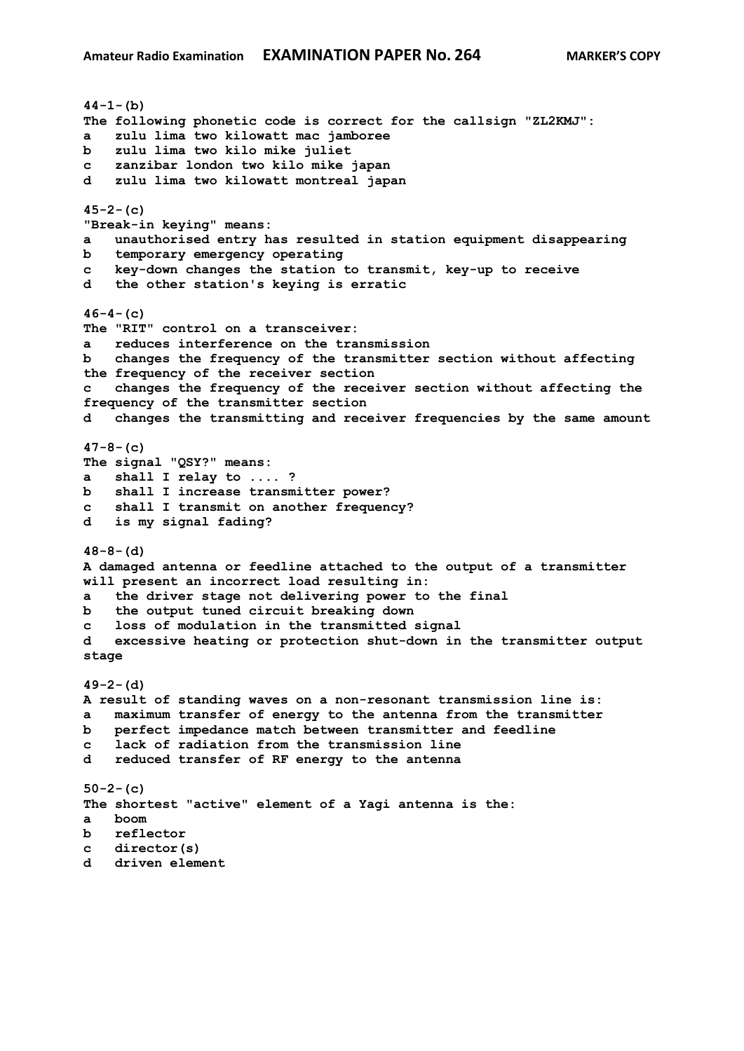**44-1-(b) The following phonetic code is correct for the callsign "ZL2KMJ": a zulu lima two kilowatt mac jamboree b zulu lima two kilo mike juliet c zanzibar london two kilo mike japan d zulu lima two kilowatt montreal japan 45-2-(c) "Break-in keying" means: a unauthorised entry has resulted in station equipment disappearing b temporary emergency operating c key-down changes the station to transmit, key-up to receive d the other station's keying is erratic 46-4-(c) The "RIT" control on a transceiver: a reduces interference on the transmission b changes the frequency of the transmitter section without affecting the frequency of the receiver section c changes the frequency of the receiver section without affecting the frequency of the transmitter section d changes the transmitting and receiver frequencies by the same amount 47-8-(c) The signal "QSY?" means: a shall I relay to .... ? b shall I increase transmitter power? c shall I transmit on another frequency? d is my signal fading? 48-8-(d) A damaged antenna or feedline attached to the output of a transmitter will present an incorrect load resulting in: a the driver stage not delivering power to the final b the output tuned circuit breaking down c loss of modulation in the transmitted signal d excessive heating or protection shut-down in the transmitter output stage 49-2-(d) A result of standing waves on a non-resonant transmission line is: a maximum transfer of energy to the antenna from the transmitter b perfect impedance match between transmitter and feedline c lack of radiation from the transmission line d reduced transfer of RF energy to the antenna 50-2-(c) The shortest "active" element of a Yagi antenna is the: a boom b reflector c director(s) d driven element**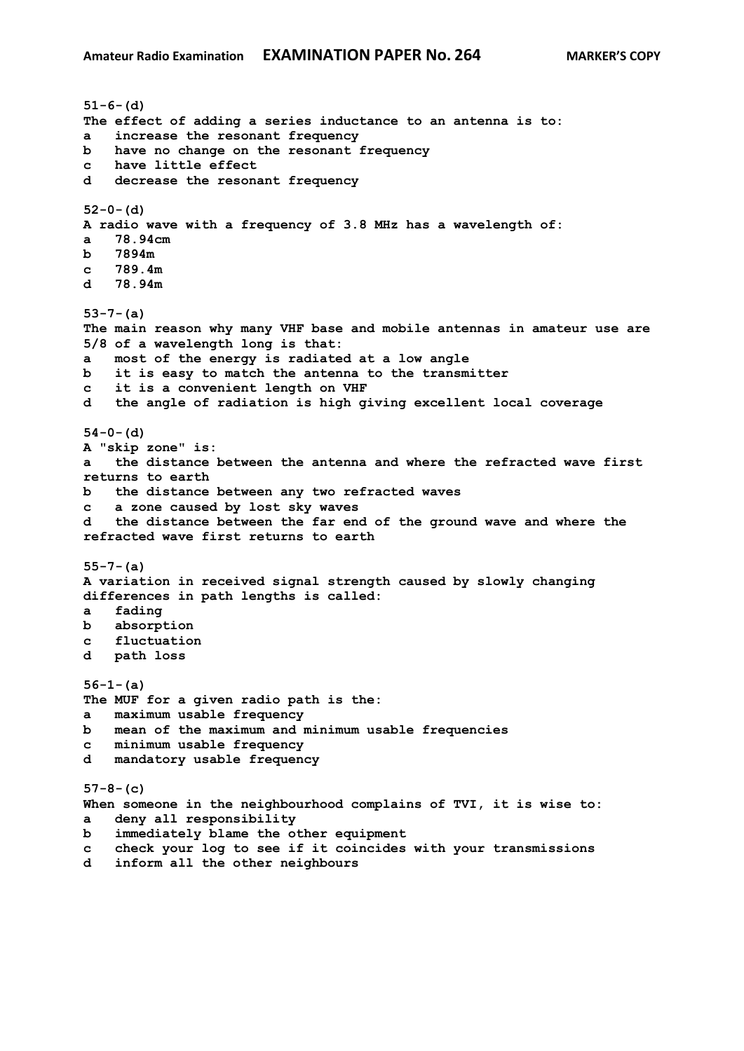```
51-6-(d)
The effect of adding a series inductance to an antenna is to:
a increase the resonant frequency
b have no change on the resonant frequency
c have little effect
d decrease the resonant frequency
52-0-(d)
A radio wave with a frequency of 3.8 MHz has a wavelength of:
a 78.94cm
b 7894m
c 789.4m
d 78.94m
53-7-(a)
The main reason why many VHF base and mobile antennas in amateur use are 
5/8 of a wavelength long is that:
a most of the energy is radiated at a low angle
b it is easy to match the antenna to the transmitter
c it is a convenient length on VHF
d the angle of radiation is high giving excellent local coverage
54-0-(d)
A "skip zone" is:
a the distance between the antenna and where the refracted wave first 
returns to earth
b the distance between any two refracted waves
c a zone caused by lost sky waves
d the distance between the far end of the ground wave and where the 
refracted wave first returns to earth
55-7-(a)
A variation in received signal strength caused by slowly changing 
differences in path lengths is called:
a fading
b absorption
c fluctuation
d path loss
56-1-(a)
The MUF for a given radio path is the:
a maximum usable frequency
b mean of the maximum and minimum usable frequencies
c minimum usable frequency
d mandatory usable frequency
57-8-(c)
When someone in the neighbourhood complains of TVI, it is wise to:
a deny all responsibility
b immediately blame the other equipment
c check your log to see if it coincides with your transmissions
d inform all the other neighbours
```